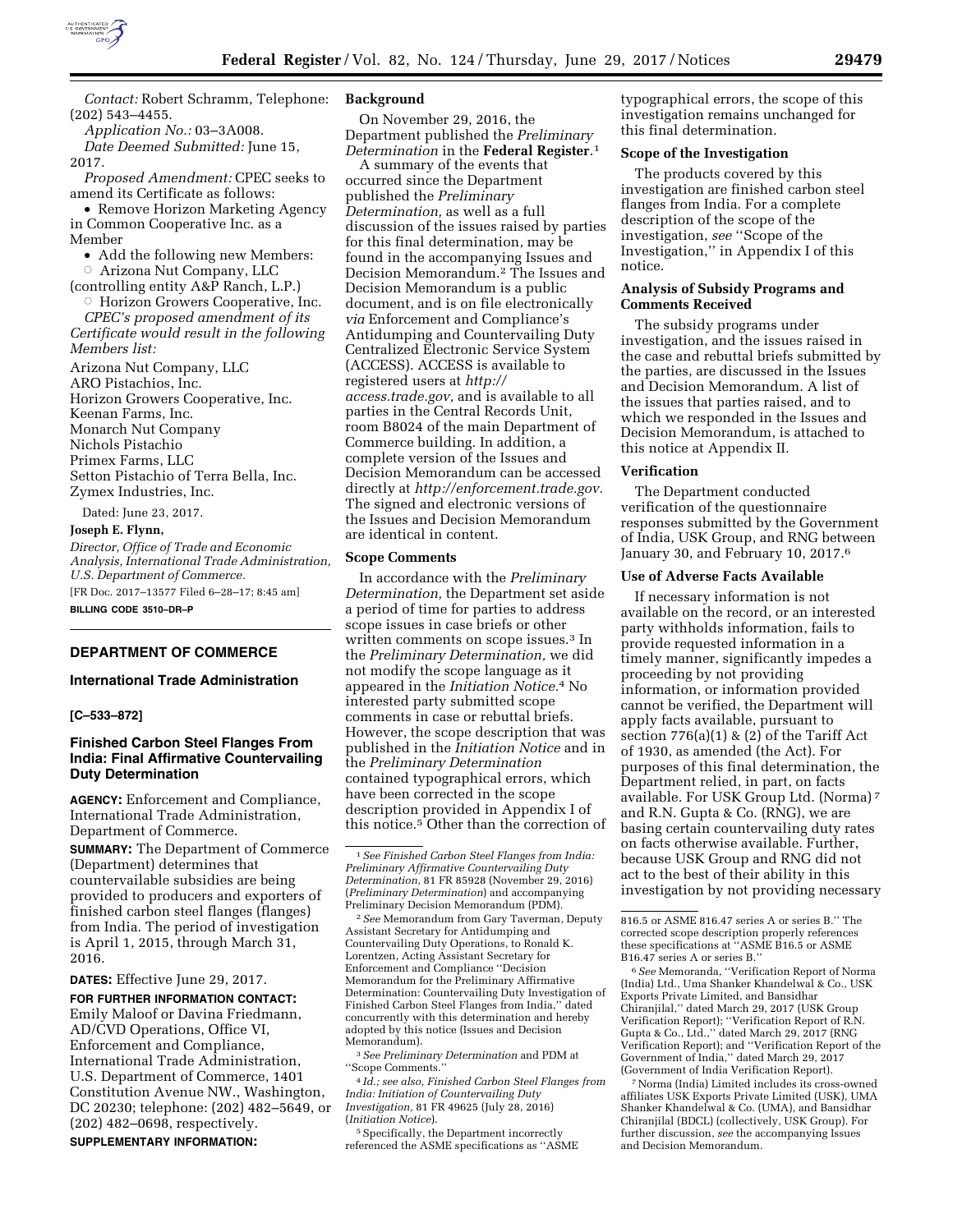

*Contact:* Robert Schramm, Telephone: (202) 543–4455.

*Application No.:* 03–3A008.

*Date Deemed Submitted:* June 15, 2017.

*Proposed Amendment:* CPEC seeks to amend its Certificate as follows:

• Remove Horizon Marketing Agency in Common Cooperative Inc. as a Member

- Add the following new Members:
- $\circ$  Arizona Nut Company, LLC

(controlling entity A&P Ranch, L.P.) **Horizon Growers Cooperative, Inc.** 

*CPEC's proposed amendment of its Certificate would result in the following Members list:* 

Arizona Nut Company, LLC ARO Pistachios, Inc. Horizon Growers Cooperative, Inc. Keenan Farms, Inc. Monarch Nut Company Nichols Pistachio Primex Farms, LLC Setton Pistachio of Terra Bella, Inc. Zymex Industries, Inc.

Dated: June 23, 2017.

**Joseph E. Flynn,** 

*Director, Office of Trade and Economic Analysis, International Trade Administration, U.S. Department of Commerce.*  [FR Doc. 2017–13577 Filed 6–28–17; 8:45 am] **BILLING CODE 3510–DR–P** 

# **DEPARTMENT OF COMMERCE**

## **International Trade Administration**

## **[C–533–872]**

# **Finished Carbon Steel Flanges From India: Final Affirmative Countervailing Duty Determination**

**AGENCY:** Enforcement and Compliance, International Trade Administration, Department of Commerce.

**SUMMARY:** The Department of Commerce (Department) determines that countervailable subsidies are being provided to producers and exporters of finished carbon steel flanges (flanges) from India. The period of investigation is April 1, 2015, through March 31, 2016.

**DATES:** Effective June 29, 2017.

**FOR FURTHER INFORMATION CONTACT:**  Emily Maloof or Davina Friedmann, AD/CVD Operations, Office VI, Enforcement and Compliance, International Trade Administration, U.S. Department of Commerce, 1401 Constitution Avenue NW., Washington, DC 20230; telephone: (202) 482–5649, or (202) 482–0698, respectively.

## **SUPPLEMENTARY INFORMATION:**

## **Background**

On November 29, 2016, the Department published the *Preliminary Determination* in the **Federal Register**.1

A summary of the events that occurred since the Department published the *Preliminary Determination,* as well as a full discussion of the issues raised by parties for this final determination, may be found in the accompanying Issues and Decision Memorandum.2 The Issues and Decision Memorandum is a public document, and is on file electronically *via* Enforcement and Compliance's Antidumping and Countervailing Duty Centralized Electronic Service System (ACCESS). ACCESS is available to registered users at *[http://](http://access.trade.gov) [access.trade.gov,](http://access.trade.gov)* and is available to all parties in the Central Records Unit, room B8024 of the main Department of Commerce building. In addition, a complete version of the Issues and Decision Memorandum can be accessed directly at *[http://enforcement.trade.gov.](http://enforcement.trade.gov)*  The signed and electronic versions of the Issues and Decision Memorandum are identical in content.

### **Scope Comments**

In accordance with the *Preliminary Determination,* the Department set aside a period of time for parties to address scope issues in case briefs or other written comments on scope issues.3 In the *Preliminary Determination,* we did not modify the scope language as it appeared in the *Initiation Notice.*4 No interested party submitted scope comments in case or rebuttal briefs. However, the scope description that was published in the *Initiation Notice* and in the *Preliminary Determination*  contained typographical errors, which have been corrected in the scope description provided in Appendix I of this notice.5 Other than the correction of

2*See* Memorandum from Gary Taverman, Deputy Assistant Secretary for Antidumping and Countervailing Duty Operations, to Ronald K. Lorentzen, Acting Assistant Secretary for Enforcement and Compliance ''Decision Memorandum for the Preliminary Affirmative Determination: Countervailing Duty Investigation of Finished Carbon Steel Flanges from India,'' dated concurrently with this determination and hereby adopted by this notice (Issues and Decision Memorandum).

3*See Preliminary Determination* and PDM at ''Scope Comments.''

4 *Id.; see also, Finished Carbon Steel Flanges from India: Initiation of Countervailing Duty Investigation,* 81 FR 49625 (July 28, 2016) (*Initiation Notice*).

5Specifically, the Department incorrectly referenced the ASME specifications as ''ASME typographical errors, the scope of this investigation remains unchanged for this final determination.

### **Scope of the Investigation**

The products covered by this investigation are finished carbon steel flanges from India. For a complete description of the scope of the investigation, *see* ''Scope of the Investigation,'' in Appendix I of this notice.

## **Analysis of Subsidy Programs and Comments Received**

The subsidy programs under investigation, and the issues raised in the case and rebuttal briefs submitted by the parties, are discussed in the Issues and Decision Memorandum. A list of the issues that parties raised, and to which we responded in the Issues and Decision Memorandum, is attached to this notice at Appendix II.

#### **Verification**

The Department conducted verification of the questionnaire responses submitted by the Government of India, USK Group, and RNG between January 30, and February 10, 2017.<sup>6</sup>

## **Use of Adverse Facts Available**

If necessary information is not available on the record, or an interested party withholds information, fails to provide requested information in a timely manner, significantly impedes a proceeding by not providing information, or information provided cannot be verified, the Department will apply facts available, pursuant to section 776(a)(1) & (2) of the Tariff Act of 1930, as amended (the Act). For purposes of this final determination, the Department relied, in part, on facts available. For USK Group Ltd. (Norma) 7 and R.N. Gupta & Co. (RNG), we are basing certain countervailing duty rates on facts otherwise available. Further, because USK Group and RNG did not act to the best of their ability in this investigation by not providing necessary

6*See* Memoranda, ''Verification Report of Norma (India) Ltd., Uma Shanker Khandelwal & Co., USK Exports Private Limited, and Bansidhar Chiranjilal,'' dated March 29, 2017 (USK Group Verification Report); ''Verification Report of R.N. Gupta & Co., Ltd.,'' dated March 29, 2017 (RNG Verification Report); and ''Verification Report of the Government of India,'' dated March 29, 2017 (Government of India Verification Report).

7Norma (India) Limited includes its cross-owned affiliates USK Exports Private Limited (USK), UMA Shanker Khandelwal & Co. (UMA), and Bansidhar Chiranjilal (BDCL) (collectively, USK Group). For further discussion, *see* the accompanying Issues and Decision Memorandum.

<sup>1</sup>*See Finished Carbon Steel Flanges from India: Preliminary Affirmative Countervailing Duty Determination,* 81 FR 85928 (November 29, 2016) (*Preliminary Determination*) and accompanying Preliminary Decision Memorandum (PDM).

<sup>816.5</sup> or ASME 816.47 series A or series B.'' The corrected scope description properly references these specifications at ''ASME B16.5 or ASME B16.47 series A or series B.''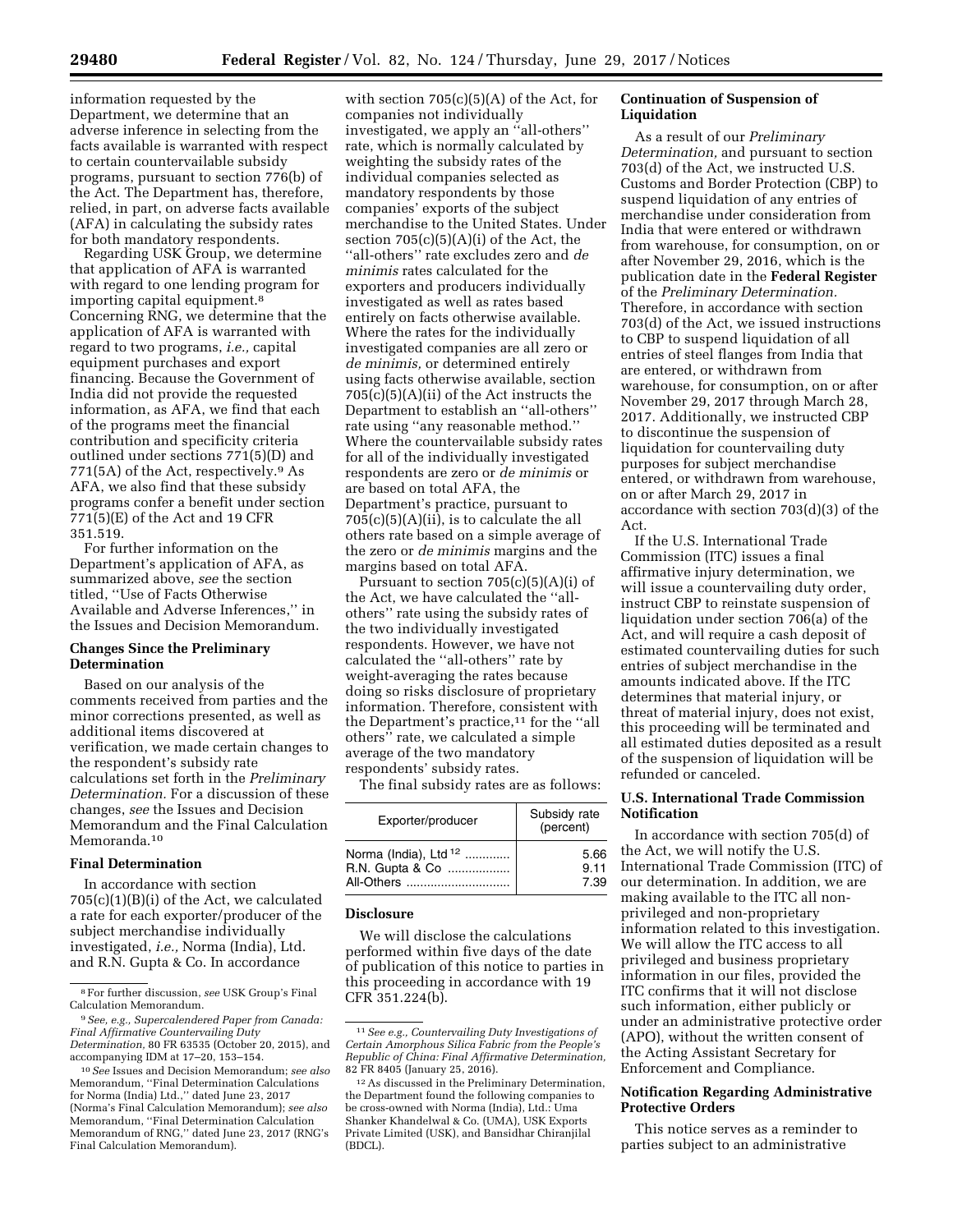information requested by the Department, we determine that an adverse inference in selecting from the facts available is warranted with respect to certain countervailable subsidy programs, pursuant to section 776(b) of the Act. The Department has, therefore, relied, in part, on adverse facts available (AFA) in calculating the subsidy rates for both mandatory respondents.

Regarding USK Group, we determine that application of AFA is warranted with regard to one lending program for importing capital equipment.8 Concerning RNG, we determine that the application of AFA is warranted with regard to two programs, *i.e.,* capital equipment purchases and export financing. Because the Government of India did not provide the requested information, as AFA, we find that each of the programs meet the financial contribution and specificity criteria outlined under sections 771(5)(D) and 771(5A) of the Act, respectively.9 As AFA, we also find that these subsidy programs confer a benefit under section 771(5)(E) of the Act and 19 CFR 351.519.

For further information on the Department's application of AFA, as summarized above, *see* the section titled, ''Use of Facts Otherwise Available and Adverse Inferences,'' in the Issues and Decision Memorandum.

# **Changes Since the Preliminary Determination**

Based on our analysis of the comments received from parties and the minor corrections presented, as well as additional items discovered at verification, we made certain changes to the respondent's subsidy rate calculations set forth in the *Preliminary Determination.* For a discussion of these changes, *see* the Issues and Decision Memorandum and the Final Calculation Memoranda.<sup>10</sup>

# **Final Determination**

In accordance with section 705(c)(1)(B)(i) of the Act, we calculated a rate for each exporter/producer of the subject merchandise individually investigated, *i.e.,* Norma (India), Ltd. and R.N. Gupta & Co. In accordance

with section  $705(c)(5)(A)$  of the Act, for companies not individually investigated, we apply an ''all-others'' rate, which is normally calculated by weighting the subsidy rates of the individual companies selected as mandatory respondents by those companies' exports of the subject merchandise to the United States. Under section  $705(c)(5)(A)(i)$  of the Act, the ''all-others'' rate excludes zero and *de minimis* rates calculated for the exporters and producers individually investigated as well as rates based entirely on facts otherwise available. Where the rates for the individually investigated companies are all zero or *de minimis,* or determined entirely using facts otherwise available, section 705(c)(5)(A)(ii) of the Act instructs the Department to establish an ''all-others'' rate using ''any reasonable method.'' Where the countervailable subsidy rates for all of the individually investigated respondents are zero or *de minimis* or are based on total AFA, the Department's practice, pursuant to  $705(c)(5)(A)(ii)$ , is to calculate the all others rate based on a simple average of the zero or *de minimis* margins and the margins based on total AFA.

Pursuant to section  $705(c)(5)(A)(i)$  of the Act, we have calculated the ''allothers'' rate using the subsidy rates of the two individually investigated respondents. However, we have not calculated the ''all-others'' rate by weight-averaging the rates because doing so risks disclosure of proprietary information. Therefore, consistent with the Department's practice,<sup>11</sup> for the "all others'' rate, we calculated a simple average of the two mandatory respondents' subsidy rates.

The final subsidy rates are as follows:

| Exporter/producer                | Subsidy rate<br>(percent) |
|----------------------------------|---------------------------|
| Norma (India), Ltd <sup>12</sup> | 5.66                      |
| R.N. Gupta & Co                  | 9.11                      |
| All-Others                       | 7.39                      |

### **Disclosure**

We will disclose the calculations performed within five days of the date of publication of this notice to parties in this proceeding in accordance with 19 CFR 351.224(b).

# **Continuation of Suspension of Liquidation**

As a result of our *Preliminary Determination,* and pursuant to section 703(d) of the Act, we instructed U.S. Customs and Border Protection (CBP) to suspend liquidation of any entries of merchandise under consideration from India that were entered or withdrawn from warehouse, for consumption, on or after November 29, 2016, which is the publication date in the **Federal Register**  of the *Preliminary Determination.*  Therefore, in accordance with section 703(d) of the Act, we issued instructions to CBP to suspend liquidation of all entries of steel flanges from India that are entered, or withdrawn from warehouse, for consumption, on or after November 29, 2017 through March 28, 2017. Additionally, we instructed CBP to discontinue the suspension of liquidation for countervailing duty purposes for subject merchandise entered, or withdrawn from warehouse, on or after March 29, 2017 in accordance with section 703(d)(3) of the Act.

If the U.S. International Trade Commission (ITC) issues a final affirmative injury determination, we will issue a countervailing duty order, instruct CBP to reinstate suspension of liquidation under section 706(a) of the Act, and will require a cash deposit of estimated countervailing duties for such entries of subject merchandise in the amounts indicated above. If the ITC determines that material injury, or threat of material injury, does not exist, this proceeding will be terminated and all estimated duties deposited as a result of the suspension of liquidation will be refunded or canceled.

# **U.S. International Trade Commission Notification**

In accordance with section 705(d) of the Act, we will notify the U.S. International Trade Commission (ITC) of our determination. In addition, we are making available to the ITC all nonprivileged and non-proprietary information related to this investigation. We will allow the ITC access to all privileged and business proprietary information in our files, provided the ITC confirms that it will not disclose such information, either publicly or under an administrative protective order (APO), without the written consent of the Acting Assistant Secretary for Enforcement and Compliance.

# **Notification Regarding Administrative Protective Orders**

This notice serves as a reminder to parties subject to an administrative

<sup>8</sup>For further discussion, *see* USK Group's Final Calculation Memorandum.

<sup>9</sup>*See, e.g., Supercalendered Paper from Canada: Final Affirmative Countervailing Duty Determination,* 80 FR 63535 (October 20, 2015), and accompanying IDM at 17–20, 153–154.

<sup>10</sup>*See* Issues and Decision Memorandum; *see also*  Memorandum, ''Final Determination Calculations for Norma (India) Ltd.,'' dated June 23, 2017 (Norma's Final Calculation Memorandum); *see also*  Memorandum, ''Final Determination Calculation Memorandum of RNG,'' dated June 23, 2017 (RNG's Final Calculation Memorandum).

<sup>11</sup>*See e.g., Countervailing Duty Investigations of Certain Amorphous Silica Fabric from the People's Republic of China: Final Affirmative Determination,*  82 FR 8405 (January 25, 2016).

<sup>12</sup>As discussed in the Preliminary Determination, the Department found the following companies to be cross-owned with Norma (India), Ltd.: Uma Shanker Khandelwal & Co. (UMA), USK Exports Private Limited (USK), and Bansidhar Chiranjilal (BDCL).